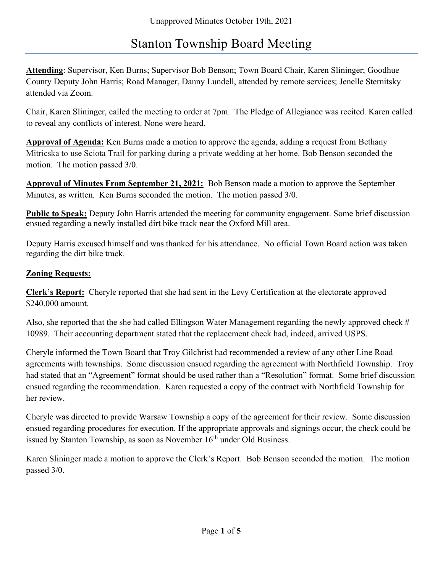# Stanton Township Board Meeting

Attending: Supervisor, Ken Burns; Supervisor Bob Benson; Town Board Chair, Karen Slininger; Goodhue County Deputy John Harris; Road Manager, Danny Lundell, attended by remote services; Jenelle Sternitsky attended via Zoom.

Chair, Karen Slininger, called the meeting to order at 7pm. The Pledge of Allegiance was recited. Karen called to reveal any conflicts of interest. None were heard.

Approval of Agenda: Ken Burns made a motion to approve the agenda, adding a request from Bethany Mitricska to use Sciota Trail for parking during a private wedding at her home. Bob Benson seconded the motion. The motion passed 3/0.

Approval of Minutes From September 21, 2021: Bob Benson made a motion to approve the September Minutes, as written. Ken Burns seconded the motion. The motion passed 3/0.

Public to Speak: Deputy John Harris attended the meeting for community engagement. Some brief discussion ensued regarding a newly installed dirt bike track near the Oxford Mill area.

Deputy Harris excused himself and was thanked for his attendance. No official Town Board action was taken regarding the dirt bike track.

# Zoning Requests:

Clerk's Report: Cheryle reported that she had sent in the Levy Certification at the electorate approved \$240,000 amount.

Also, she reported that the she had called Ellingson Water Management regarding the newly approved check # 10989. Their accounting department stated that the replacement check had, indeed, arrived USPS.

Cheryle informed the Town Board that Troy Gilchrist had recommended a review of any other Line Road agreements with townships. Some discussion ensued regarding the agreement with Northfield Township. Troy had stated that an "Agreement" format should be used rather than a "Resolution" format. Some brief discussion ensued regarding the recommendation. Karen requested a copy of the contract with Northfield Township for her review.

Cheryle was directed to provide Warsaw Township a copy of the agreement for their review. Some discussion ensued regarding procedures for execution. If the appropriate approvals and signings occur, the check could be issued by Stanton Township, as soon as November  $16<sup>th</sup>$  under Old Business.

Karen Slininger made a motion to approve the Clerk's Report. Bob Benson seconded the motion. The motion passed 3/0.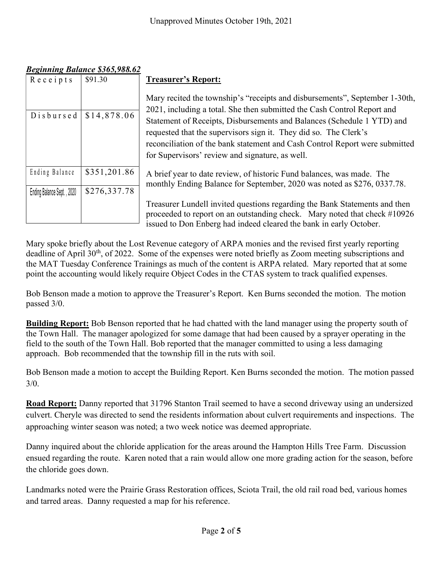| Unapproved Minutes October 19th, 2021 |                                                  |                                                                                                                                                                                                                                  |
|---------------------------------------|--------------------------------------------------|----------------------------------------------------------------------------------------------------------------------------------------------------------------------------------------------------------------------------------|
|                                       |                                                  |                                                                                                                                                                                                                                  |
| Receipts                              | <b>Beginning Balance \$365,988.62</b><br>\$91.30 | <b>Treasurer's Report:</b>                                                                                                                                                                                                       |
| Disbursed                             | \$14,878.06                                      | Mary recited the township's "receipts and disbursements", September 1-30th,<br>2021, including a total. She then submitted the Cash Control Report and<br>Statement of Receipts, Disbursements and Balances (Schedule 1 YTD) and |
|                                       |                                                  | requested that the supervisors sign it. They did so. The Clerk's<br>reconciliation of the bank statement and Cash Control Report were submitted<br>for Supervisors' review and signature, as well.                               |
| Ending Balance                        | \$351,201.86                                     | A brief year to date review, of historic Fund balances, was made. The<br>monthly Ending Balance for September, 2020 was noted as \$276, 0337.78.                                                                                 |
| Ending Balance Sept., 2020            | \$276,337.78                                     |                                                                                                                                                                                                                                  |
|                                       |                                                  | Treasurer Lundell invited questions regarding the Bank Statements and then<br>proceeded to report on an outstanding check. Mary noted that check #10926<br>issued to Don Enberg had indeed cleared the bank in early October.    |

#### Beginning Balance \$365,988.62

Mary spoke briefly about the Lost Revenue category of ARPA monies and the revised first yearly reporting deadline of April  $30<sup>th</sup>$ , of 2022. Some of the expenses were noted briefly as Zoom meeting subscriptions and the MAT Tuesday Conference Trainings as much of the content is ARPA related. Mary reported that at some point the accounting would likely require Object Codes in the CTAS system to track qualified expenses.

Bob Benson made a motion to approve the Treasurer's Report. Ken Burns seconded the motion. The motion passed 3/0.

Building Report: Bob Benson reported that he had chatted with the land manager using the property south of the Town Hall. The manager apologized for some damage that had been caused by a sprayer operating in the field to the south of the Town Hall. Bob reported that the manager committed to using a less damaging approach. Bob recommended that the township fill in the ruts with soil.

Bob Benson made a motion to accept the Building Report. Ken Burns seconded the motion. The motion passed  $3/0.$ 

Road Report: Danny reported that 31796 Stanton Trail seemed to have a second driveway using an undersized culvert. Cheryle was directed to send the residents information about culvert requirements and inspections. The approaching winter season was noted; a two week notice was deemed appropriate.

Danny inquired about the chloride application for the areas around the Hampton Hills Tree Farm. Discussion ensued regarding the route. Karen noted that a rain would allow one more grading action for the season, before the chloride goes down.

Landmarks noted were the Prairie Grass Restoration offices, Sciota Trail, the old rail road bed, various homes and tarred areas. Danny requested a map for his reference.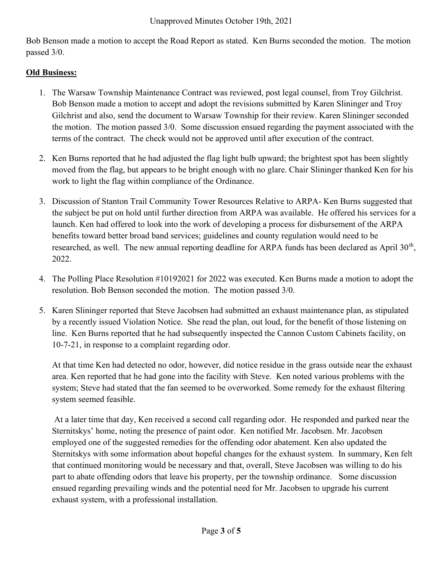Bob Benson made a motion to accept the Road Report as stated. Ken Burns seconded the motion. The motion passed 3/0.

## Old Business:

- 1. The Warsaw Township Maintenance Contract was reviewed, post legal counsel, from Troy Gilchrist. Bob Benson made a motion to accept and adopt the revisions submitted by Karen Slininger and Troy Gilchrist and also, send the document to Warsaw Township for their review. Karen Slininger seconded the motion. The motion passed 3/0. Some discussion ensued regarding the payment associated with the terms of the contract. The check would not be approved until after execution of the contract.
- 2. Ken Burns reported that he had adjusted the flag light bulb upward; the brightest spot has been slightly moved from the flag, but appears to be bright enough with no glare. Chair Slininger thanked Ken for his work to light the flag within compliance of the Ordinance.
- 3. Discussion of Stanton Trail Community Tower Resources Relative to ARPA- Ken Burns suggested that the subject be put on hold until further direction from ARPA was available. He offered his services for a launch. Ken had offered to look into the work of developing a process for disbursement of the ARPA benefits toward better broad band services; guidelines and county regulation would need to be researched, as well. The new annual reporting deadline for ARPA funds has been declared as April  $30<sup>th</sup>$ , 2022.
- 4. The Polling Place Resolution #10192021 for 2022 was executed. Ken Burns made a motion to adopt the resolution. Bob Benson seconded the motion. The motion passed 3/0.
- 5. Karen Slininger reported that Steve Jacobsen had submitted an exhaust maintenance plan, as stipulated by a recently issued Violation Notice. She read the plan, out loud, for the benefit of those listening on line. Ken Burns reported that he had subsequently inspected the Cannon Custom Cabinets facility, on 10-7-21, in response to a complaint regarding odor.

At that time Ken had detected no odor, however, did notice residue in the grass outside near the exhaust area. Ken reported that he had gone into the facility with Steve. Ken noted various problems with the system; Steve had stated that the fan seemed to be overworked. Some remedy for the exhaust filtering system seemed feasible.

 At a later time that day, Ken received a second call regarding odor. He responded and parked near the Sternitskys' home, noting the presence of paint odor. Ken notified Mr. Jacobsen. Mr. Jacobsen employed one of the suggested remedies for the offending odor abatement. Ken also updated the Sternitskys with some information about hopeful changes for the exhaust system. In summary, Ken felt that continued monitoring would be necessary and that, overall, Steve Jacobsen was willing to do his part to abate offending odors that leave his property, per the township ordinance. Some discussion ensued regarding prevailing winds and the potential need for Mr. Jacobsen to upgrade his current exhaust system, with a professional installation.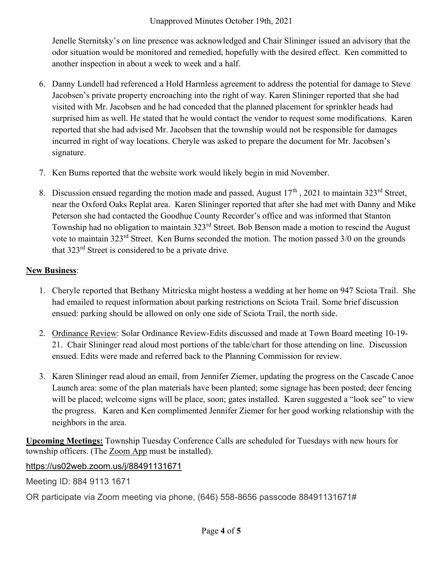#### Unapproved Minutes October 19th, 2021

Jenelle Sternitsky's on line presence was acknowledged and Chair Slininger issued an advisory that the odor situation would be monitored and remedied, hopefully with the desired effect. Ken committed to another inspection in about a week to week and a half.

- 6. Danny Lundell had referenced a Hold Harmless agreement to address the potential for damage to Steve Jacobsen's private property encroaching into the right of way. Karen Slininger reported that she had visited with Mr. Jacobsen and he had conceded that the planned placement for sprinkler heads had surprised him as well. He stated that he would contact the vendor to request some modifications. Karen reported that she had advised Mr. Jacobsen that the township would not be responsible for damages incurred in right of way locations. Cheryle was asked to prepare the document for Mr. Jacobsen's signature.
- 7. Ken Burns reported that the website work would likely begin in mid November.
- 8. Discussion ensued regarding the motion made and passed, August  $17<sup>th</sup>$ , 2021 to maintain 323<sup>rd</sup> Street, near the Oxford Oaks Replat area. Karen Slininger reported that after she had met with Danny and Mike Peterson she had contacted the Goodhue County Recorder's office and was informed that Stanton Township had no obligation to maintain 323<sup>rd</sup> Street. Bob Benson made a motion to rescind the August vote to maintain 323rd Street. Ken Burns seconded the motion. The motion passed 3/0 on the grounds that 323rd Street is considered to be a private drive.

## **New Business:**

- 1. Cheryle reported that Bethany Mitricska might hostess a wedding at her home on 947 Sciota Trail. She had emailed to request information about parking restrictions on Sciota Trail. Some brief discussion ensued: parking should be allowed on only one side of Sciota Trail, the north side.
- 2. Ordinance Review: Solar Ordinance Review-Edits discussed and made at Town Board meeting 10-19- 21. Chair Slininger read aloud most portions of the table/chart for those attending on line. Discussion ensued. Edits were made and referred back to the Planning Commission for review.
- 3. Karen Slininger read aloud an email, from Jennifer Ziemer, updating the progress on the Cascade Canoe Launch area: some of the plan materials have been planted; some signage has been posted; deer fencing will be placed; welcome signs will be place, soon; gates installed. Karen suggested a "look see" to view the progress. Karen and Ken complimented Jennifer Ziemer for her good working relationship with the neighbors in the area.

Upcoming Meetings: Township Tuesday Conference Calls are scheduled for Tuesdays with new hours for township officers. (The Zoom App must be installed).

https://us02web.zoom.us/j/88491131671

Meeting ID: 884 9113 1671

OR participate via Zoom meeting via phone, (646) 558-8656 passcode 88491131671#